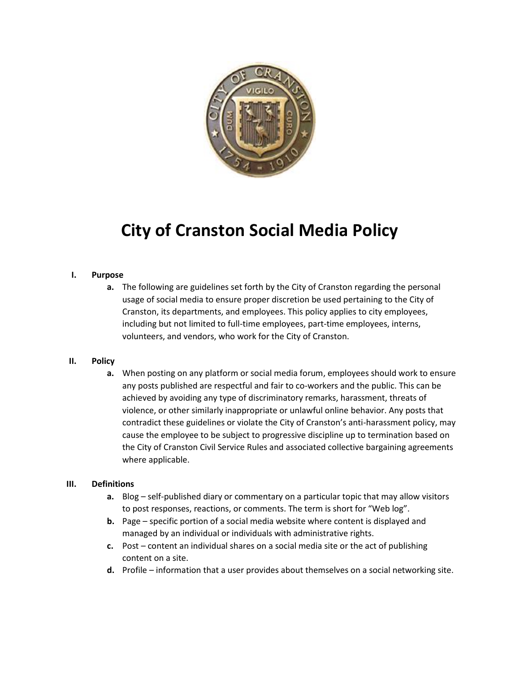

# **City of Cranston Social Media Policy**

#### **I. Purpose**

**a.** The following are guidelines set forth by the City of Cranston regarding the personal usage of social media to ensure proper discretion be used pertaining to the City of Cranston, its departments, and employees. This policy applies to city employees, including but not limited to full-time employees, part-time employees, interns, volunteers, and vendors, who work for the City of Cranston.

#### **II. Policy**

**a.** When posting on any platform or social media forum, employees should work to ensure any posts published are respectful and fair to co-workers and the public. This can be achieved by avoiding any type of discriminatory remarks, harassment, threats of violence, or other similarly inappropriate or unlawful online behavior. Any posts that contradict these guidelines or violate the City of Cranston's anti-harassment policy, may cause the employee to be subject to progressive discipline up to termination based on the City of Cranston Civil Service Rules and associated collective bargaining agreements where applicable.

#### **III. Definitions**

- **a.** Blog self-published diary or commentary on a particular topic that may allow visitors to post responses, reactions, or comments. The term is short for "Web log".
- **b.** Page specific portion of a social media website where content is displayed and managed by an individual or individuals with administrative rights.
- **c.** Post content an individual shares on a social media site or the act of publishing content on a site.
- **d.** Profile information that a user provides about themselves on a social networking site.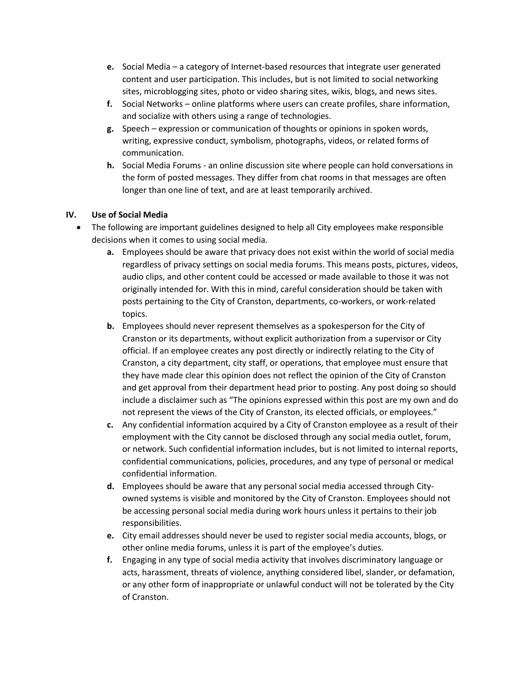- **e.** Social Media a category of Internet-based resources that integrate user generated content and user participation. This includes, but is not limited to social networking sites, microblogging sites, photo or video sharing sites, wikis, blogs, and news sites.
- **f.** Social Networks online platforms where users can create profiles, share information, and socialize with others using a range of technologies.
- **g.** Speech expression or communication of thoughts or opinions in spoken words, writing, expressive conduct, symbolism, photographs, videos, or related forms of communication.
- **h.** Social Media Forums an online discussion site where people can hold conversations in the form of posted messages. They differ from chat rooms in that messages are often longer than one line of text, and are at least temporarily archived.

## **IV. Use of Social Media**

- The following are important guidelines designed to help all City employees make responsible decisions when it comes to using social media.
	- **a.** Employees should be aware that privacy does not exist within the world of social media regardless of privacy settings on social media forums. This means posts, pictures, videos, audio clips, and other content could be accessed or made available to those it was not originally intended for. With this in mind, careful consideration should be taken with posts pertaining to the City of Cranston, departments, co-workers, or work-related topics.
	- **b.** Employees should never represent themselves as a spokesperson for the City of Cranston or its departments, without explicit authorization from a supervisor or City official. If an employee creates any post directly or indirectly relating to the City of Cranston, a city department, city staff, or operations, that employee must ensure that they have made clear this opinion does not reflect the opinion of the City of Cranston and get approval from their department head prior to posting. Any post doing so should include a disclaimer such as "The opinions expressed within this post are my own and do not represent the views of the City of Cranston, its elected officials, or employees."
	- **c.** Any confidential information acquired by a City of Cranston employee as a result of their employment with the City cannot be disclosed through any social media outlet, forum, or network. Such confidential information includes, but is not limited to internal reports, confidential communications, policies, procedures, and any type of personal or medical confidential information.
	- **d.** Employees should be aware that any personal social media accessed through Cityowned systems is visible and monitored by the City of Cranston. Employees should not be accessing personal social media during work hours unless it pertains to their job responsibilities.
	- **e.** City email addresses should never be used to register social media accounts, blogs, or other online media forums, unless it is part of the employee's duties.
	- **f.** Engaging in any type of social media activity that involves discriminatory language or acts, harassment, threats of violence, anything considered libel, slander, or defamation, or any other form of inappropriate or unlawful conduct will not be tolerated by the City of Cranston.